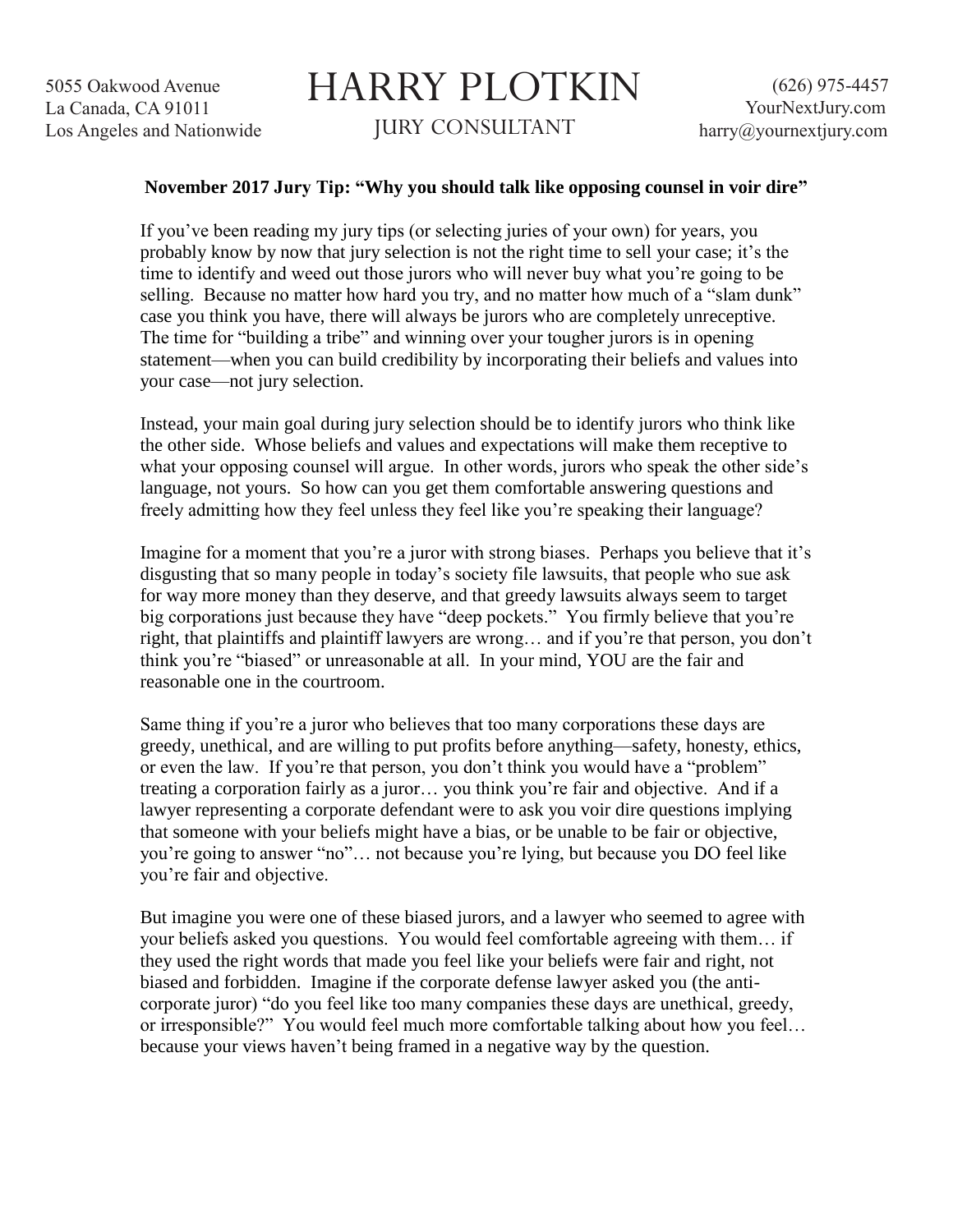## HARRY PLOTKIN JURY CONSULTANT

## **November 2017 Jury Tip: "Why you should talk like opposing counsel in voir dire"**

If you've been reading my jury tips (or selecting juries of your own) for years, you probably know by now that jury selection is not the right time to sell your case; it's the time to identify and weed out those jurors who will never buy what you're going to be selling. Because no matter how hard you try, and no matter how much of a "slam dunk" case you think you have, there will always be jurors who are completely unreceptive. The time for "building a tribe" and winning over your tougher jurors is in opening statement—when you can build credibility by incorporating their beliefs and values into your case—not jury selection.

Instead, your main goal during jury selection should be to identify jurors who think like the other side. Whose beliefs and values and expectations will make them receptive to what your opposing counsel will argue. In other words, jurors who speak the other side's language, not yours. So how can you get them comfortable answering questions and freely admitting how they feel unless they feel like you're speaking their language?

Imagine for a moment that you're a juror with strong biases. Perhaps you believe that it's disgusting that so many people in today's society file lawsuits, that people who sue ask for way more money than they deserve, and that greedy lawsuits always seem to target big corporations just because they have "deep pockets." You firmly believe that you're right, that plaintiffs and plaintiff lawyers are wrong… and if you're that person, you don't think you're "biased" or unreasonable at all. In your mind, YOU are the fair and reasonable one in the courtroom.

Same thing if you're a juror who believes that too many corporations these days are greedy, unethical, and are willing to put profits before anything—safety, honesty, ethics, or even the law. If you're that person, you don't think you would have a "problem" treating a corporation fairly as a juror… you think you're fair and objective. And if a lawyer representing a corporate defendant were to ask you voir dire questions implying that someone with your beliefs might have a bias, or be unable to be fair or objective, you're going to answer "no"… not because you're lying, but because you DO feel like you're fair and objective.

But imagine you were one of these biased jurors, and a lawyer who seemed to agree with your beliefs asked you questions. You would feel comfortable agreeing with them… if they used the right words that made you feel like your beliefs were fair and right, not biased and forbidden. Imagine if the corporate defense lawyer asked you (the anticorporate juror) "do you feel like too many companies these days are unethical, greedy, or irresponsible?" You would feel much more comfortable talking about how you feel… because your views haven't being framed in a negative way by the question.